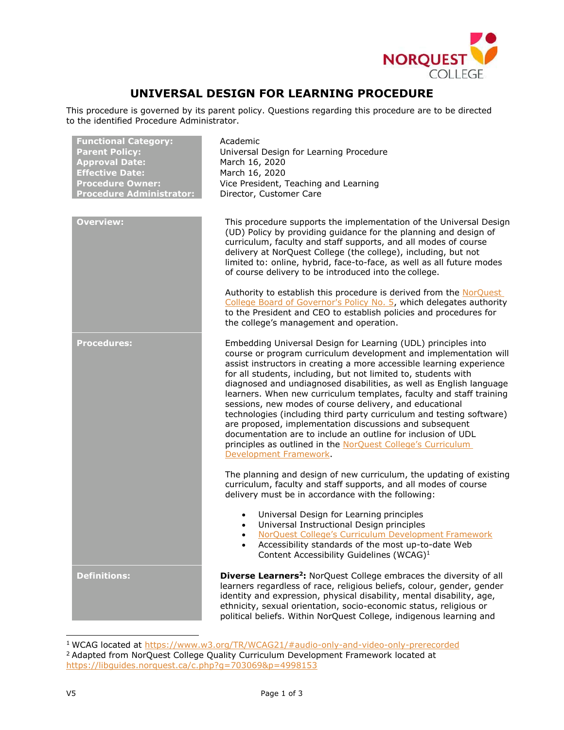

## **UNIVERSAL DESIGN FOR LEARNING PROCEDURE**

This procedure is governed by its parent policy. Questions regarding this procedure are to be directed to the identified Procedure Administrator.

| <b>Functional Category:</b><br><b>Parent Policy:</b><br><b>Approval Date:</b><br><b>Effective Date:</b><br><b>Procedure Owner:</b><br><b>Procedure Administrator:</b> | Academic<br>Universal Design for Learning Procedure<br>March 16, 2020<br>March 16, 2020<br>Vice President, Teaching and Learning<br>Director, Customer Care                                                                                                                                                                                                                                                                                                                                                                                                                                                                                                                                                                                                                                                                                             |
|-----------------------------------------------------------------------------------------------------------------------------------------------------------------------|---------------------------------------------------------------------------------------------------------------------------------------------------------------------------------------------------------------------------------------------------------------------------------------------------------------------------------------------------------------------------------------------------------------------------------------------------------------------------------------------------------------------------------------------------------------------------------------------------------------------------------------------------------------------------------------------------------------------------------------------------------------------------------------------------------------------------------------------------------|
| <b>Overview:</b>                                                                                                                                                      | This procedure supports the implementation of the Universal Design<br>(UD) Policy by providing guidance for the planning and design of<br>curriculum, faculty and staff supports, and all modes of course<br>delivery at NorQuest College (the college), including, but not<br>limited to: online, hybrid, face-to-face, as well as all future modes<br>of course delivery to be introduced into the college.                                                                                                                                                                                                                                                                                                                                                                                                                                           |
|                                                                                                                                                                       | Authority to establish this procedure is derived from the NorQuest<br>College Board of Governor's Policy No. 5, which delegates authority<br>to the President and CEO to establish policies and procedures for<br>the college's management and operation.                                                                                                                                                                                                                                                                                                                                                                                                                                                                                                                                                                                               |
| <b>Procedures:</b>                                                                                                                                                    | Embedding Universal Design for Learning (UDL) principles into<br>course or program curriculum development and implementation will<br>assist instructors in creating a more accessible learning experience<br>for all students, including, but not limited to, students with<br>diagnosed and undiagnosed disabilities, as well as English language<br>learners. When new curriculum templates, faculty and staff training<br>sessions, new modes of course delivery, and educational<br>technologies (including third party curriculum and testing software)<br>are proposed, implementation discussions and subsequent<br>documentation are to include an outline for inclusion of UDL<br>principles as outlined in the NorQuest College's Curriculum<br>Development Framework.<br>The planning and design of new curriculum, the updating of existing |
|                                                                                                                                                                       | curriculum, faculty and staff supports, and all modes of course<br>delivery must be in accordance with the following:                                                                                                                                                                                                                                                                                                                                                                                                                                                                                                                                                                                                                                                                                                                                   |
|                                                                                                                                                                       | Universal Design for Learning principles<br>$\bullet$<br>Universal Instructional Design principles<br>$\bullet$<br>NorQuest College's Curriculum Development Framework<br>$\bullet$<br>Accessibility standards of the most up-to-date Web<br>$\bullet$<br>Content Accessibility Guidelines (WCAG) <sup>1</sup>                                                                                                                                                                                                                                                                                                                                                                                                                                                                                                                                          |
| <b>Definitions:</b>                                                                                                                                                   | <b>Diverse Learners<sup>2</sup>:</b> NorQuest College embraces the diversity of all<br>learners regardless of race, religious beliefs, colour, gender, gender<br>identity and expression, physical disability, mental disability, age,<br>ethnicity, sexual orientation, socio-economic status, religious or<br>political beliefs. Within NorQuest College, indigenous learning and                                                                                                                                                                                                                                                                                                                                                                                                                                                                     |

<span id="page-0-0"></span><sup>&</sup>lt;sup>1</sup> WCAG located at<https://www.w3.org/TR/WCAG21/#audio-only-and-video-only-prerecorded>

<span id="page-0-1"></span><sup>&</sup>lt;sup>2</sup> Adapted from NorQuest College Quality Curriculum Development Framework located at <https://libguides.norquest.ca/c.php?g=703069&p=4998153>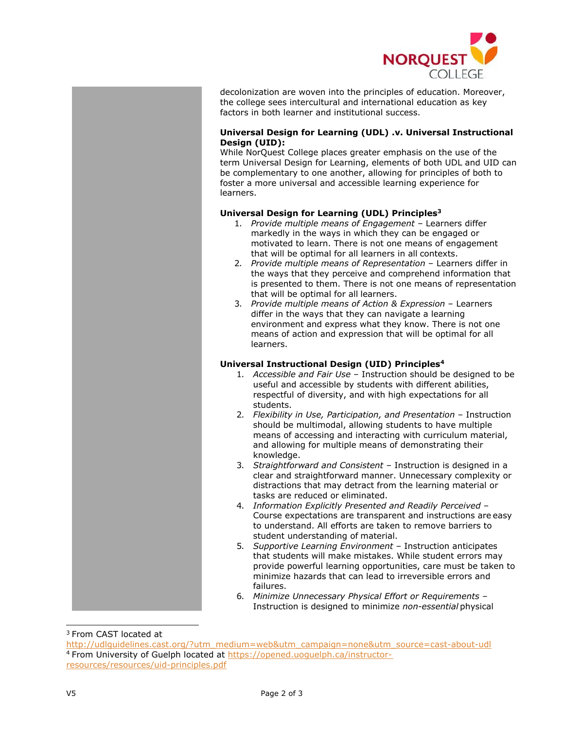

decolonization are woven into the principles of education. Moreover, the college sees intercultural and international education as key factors in both learner and institutional success.

## **Universal Design for Learning (UDL) .v. Universal Instructional Design (UID):**

While NorQuest College places greater emphasis on the use of the term Universal Design for Learning, elements of both UDL and UID can be complementary to one another, allowing for principles of both to foster a more universal and accessible learning experience for learners.

## **Universal Design for Learning (UDL) Principles[3](#page-1-0)**

- 1. *Provide multiple means of Engagement*  Learners differ markedly in the ways in which they can be engaged or motivated to learn. There is not one means of engagement that will be optimal for all learners in all contexts.
- 2. *Provide multiple means of Representation*  Learners differ in the ways that they perceive and comprehend information that is presented to them. There is not one means of representation that will be optimal for all learners.
- 3. *Provide multiple means of Action & Expression*  Learners differ in the ways that they can navigate a learning environment and express what they know. There is not one means of action and expression that will be optimal for all learners.

## **Universal Instructional Design (UID) Principles[4](#page-1-1)**

- 1. *Accessible and Fair Use*  Instruction should be designed to be useful and accessible by students with different abilities, respectful of diversity, and with high expectations for all students.
- 2. *Flexibility in Use, Participation, and Presentation*  Instruction should be multimodal, allowing students to have multiple means of accessing and interacting with curriculum material, and allowing for multiple means of demonstrating their knowledge.
- 3. *Straightforward and Consistent*  Instruction is designed in a clear and straightforward manner. Unnecessary complexity or distractions that may detract from the learning material or tasks are reduced or eliminated.
- 4. *Information Explicitly Presented and Readily Perceived*  Course expectations are transparent and instructions are easy to understand. All efforts are taken to remove barriers to student understanding of material.
- 5. *Supportive Learning Environment*  Instruction anticipates that students will make mistakes. While student errors may provide powerful learning opportunities, care must be taken to minimize hazards that can lead to irreversible errors and failures.
- 6. *Minimize Unnecessary Physical Effort or Requirements*  Instruction is designed to minimize *non-essential* physical

<span id="page-1-0"></span><sup>3</sup> From CAST located at

<span id="page-1-1"></span>[http://udlguidelines.cast.org/?utm\\_medium=web&utm\\_campaign=none&utm\\_source=cast-about-udl](http://udlguidelines.cast.org/?utm_medium=web&utm_campaign=none&utm_source=cast-about-udl) <sup>4</sup> From University of Guelph located at [https://opened.uoguelph.ca/instructor](https://opened.uoguelph.ca/instructor-resources/resources/uid-principles.pdf)[resources/resources/uid-principles.pdf](https://opened.uoguelph.ca/instructor-resources/resources/uid-principles.pdf)